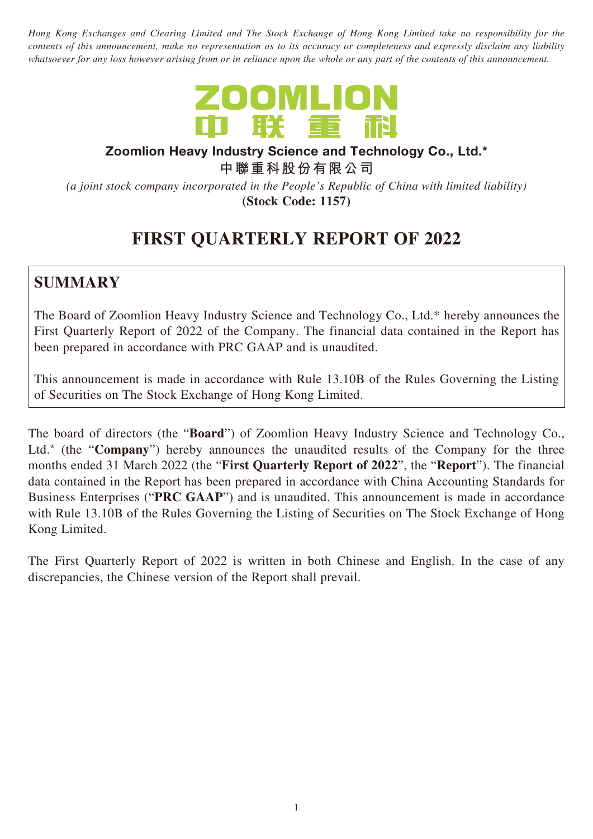*Hong Kong Exchanges and Clearing Limited and The Stock Exchange of Hong Kong Limited take no responsibility for the contents of this announcement, make no representation as to its accuracy or completeness and expressly disclaim any liability whatsoever for any loss however arising from or in reliance upon the whole or any part of the contents of this announcement.*



#### **Zoomlion Heavy Industry Science and Technology Co., Ltd.\***

**中聯重科股份有限公司**

*(a joint stock company incorporated in the People's Republic of China with limited liability)*

**(Stock Code: 1157)**

# **FIRST QUARTERLY REPORT OF 2022**

### **SUMMARY**

The Board of Zoomlion Heavy Industry Science and Technology Co., Ltd.\* hereby announces the First Quarterly Report of 2022 of the Company. The financial data contained in the Report has been prepared in accordance with PRC GAAP and is unaudited.

This announcement is made in accordance with Rule 13.10B of the Rules Governing the Listing of Securities on The Stock Exchange of Hong Kong Limited.

The board of directors (the "**Board**") of Zoomlion Heavy Industry Science and Technology Co., Ltd.<sup>\*</sup> (the "**Company**") hereby announces the unaudited results of the Company for the three months ended 31 March 2022 (the "**First Quarterly Report of 2022**", the "**Report**"). The financial data contained in the Report has been prepared in accordance with China Accounting Standards for Business Enterprises ("**PRC GAAP**") and is unaudited. This announcement is made in accordance with Rule 13.10B of the Rules Governing the Listing of Securities on The Stock Exchange of Hong Kong Limited.

The First Quarterly Report of 2022 is written in both Chinese and English. In the case of any discrepancies, the Chinese version of the Report shall prevail.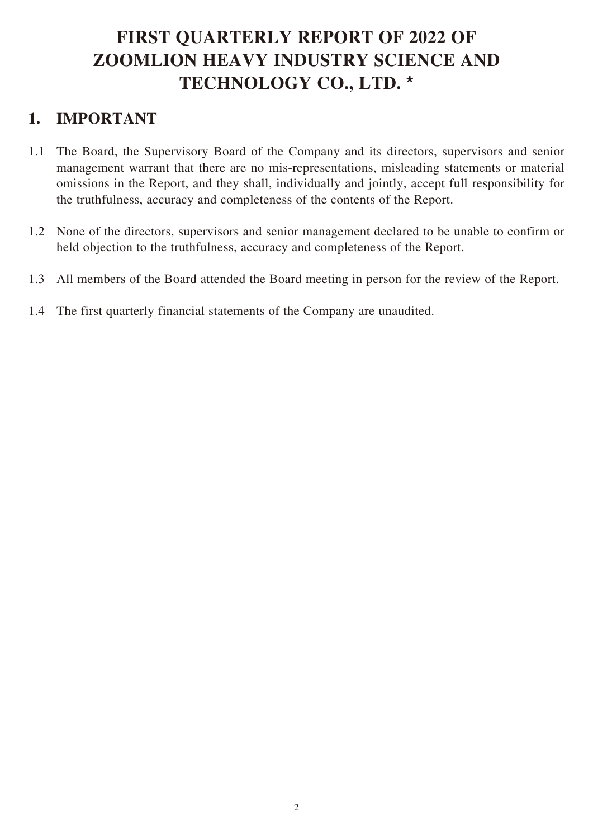# **FIRST QUARTERLY REPORT OF 2022 OF ZOOMLION HEAVY INDUSTRY SCIENCE AND TECHNOLOGY CO., LTD. \***

### **1. IMPORTANT**

- 1.1 The Board, the Supervisory Board of the Company and its directors, supervisors and senior management warrant that there are no mis-representations, misleading statements or material omissions in the Report, and they shall, individually and jointly, accept full responsibility for the truthfulness, accuracy and completeness of the contents of the Report.
- 1.2 None of the directors, supervisors and senior management declared to be unable to confirm or held objection to the truthfulness, accuracy and completeness of the Report.
- 1.3 All members of the Board attended the Board meeting in person for the review of the Report.
- 1.4 The first quarterly financial statements of the Company are unaudited.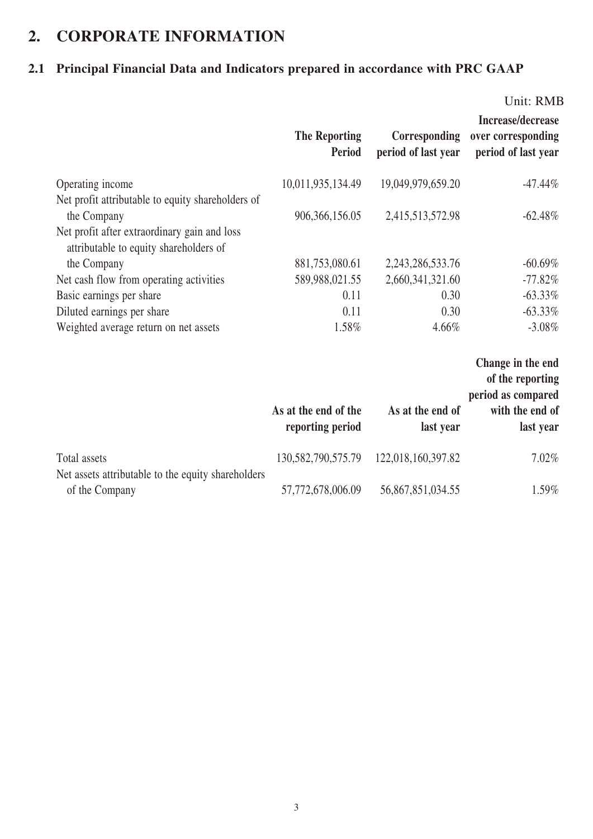## **2. CORPORATE INFORMATION**

### **2.1 Principal Financial Data and Indicators prepared in accordance with PRC GAAP**

|                                                                                                                  | <b>The Reporting</b><br>Period           | <b>Corresponding</b><br>period of last year | Unit: RMB<br>Increase/decrease<br>over corresponding<br>period of last year |
|------------------------------------------------------------------------------------------------------------------|------------------------------------------|---------------------------------------------|-----------------------------------------------------------------------------|
| Operating income                                                                                                 | 10,011,935,134.49                        | 19,049,979,659.20                           | $-47.44%$                                                                   |
| Net profit attributable to equity shareholders of<br>the Company<br>Net profit after extraordinary gain and loss | 906,366,156.05                           | 2,415,513,572.98                            | $-62.48%$                                                                   |
| attributable to equity shareholders of<br>the Company                                                            | 881,753,080.61                           | 2, 243, 286, 533. 76                        | $-60.69%$                                                                   |
| Net cash flow from operating activities                                                                          | 589,988,021.55                           | 2,660,341,321.60                            | $-77.82%$                                                                   |
| Basic earnings per share                                                                                         | 0.11                                     | 0.30                                        | $-63.33\%$                                                                  |
| Diluted earnings per share                                                                                       | 0.11                                     | 0.30                                        | $-63.33\%$                                                                  |
| Weighted average return on net assets                                                                            | 1.58%                                    | 4.66%                                       | $-3.08\%$                                                                   |
|                                                                                                                  |                                          |                                             | Change in the end<br>of the reporting<br>period as compared                 |
|                                                                                                                  | As at the end of the<br>reporting period | As at the end of<br>last year               | with the end of<br>last year                                                |
| Total assets                                                                                                     | 130, 582, 790, 575. 79                   | 122,018,160,397.82                          | 7.02%                                                                       |
| Net assets attributable to the equity shareholders<br>of the Company                                             | 57,772,678,006.09                        | 56,867,851,034.55                           | 1.59%                                                                       |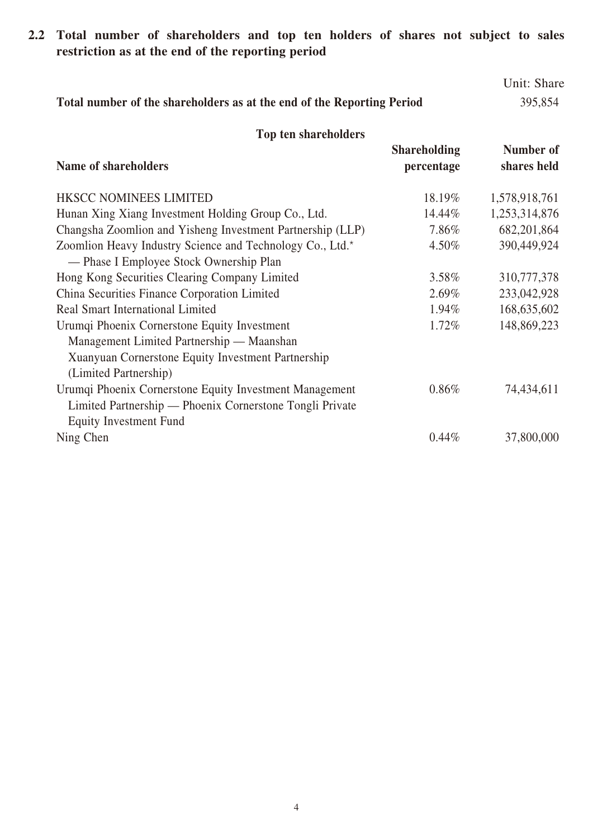**2.2 Total number of shareholders and top ten holders of shares not subject to sales restriction as at the end of the reporting period**

|                                                                        | Unit: Share |
|------------------------------------------------------------------------|-------------|
| Total number of the shareholders as at the end of the Reporting Period | 395,854     |

| Top ten shareholders                                       |                                   |                          |
|------------------------------------------------------------|-----------------------------------|--------------------------|
| Name of shareholders                                       | <b>Shareholding</b><br>percentage | Number of<br>shares held |
| <b>HKSCC NOMINEES LIMITED</b>                              | 18.19%                            | 1,578,918,761            |
| Hunan Xing Xiang Investment Holding Group Co., Ltd.        | 14.44%                            | 1,253,314,876            |
| Changsha Zoomlion and Yisheng Investment Partnership (LLP) | 7.86%                             | 682, 201, 864            |
| Zoomlion Heavy Industry Science and Technology Co., Ltd.*  | 4.50%                             | 390,449,924              |
| — Phase I Employee Stock Ownership Plan                    |                                   |                          |
| Hong Kong Securities Clearing Company Limited              | 3.58%                             | 310,777,378              |
| China Securities Finance Corporation Limited               | 2.69%                             | 233,042,928              |
| Real Smart International Limited                           | 1.94%                             | 168,635,602              |
| Urumqi Phoenix Cornerstone Equity Investment               | 1.72%                             | 148,869,223              |
| Management Limited Partnership — Maanshan                  |                                   |                          |
| Xuanyuan Cornerstone Equity Investment Partnership         |                                   |                          |
| (Limited Partnership)                                      |                                   |                          |
| Urumqi Phoenix Cornerstone Equity Investment Management    | $0.86\%$                          | 74,434,611               |
| Limited Partnership — Phoenix Cornerstone Tongli Private   |                                   |                          |
| <b>Equity Investment Fund</b>                              |                                   |                          |
| Ning Chen                                                  | $0.44\%$                          | 37,800,000               |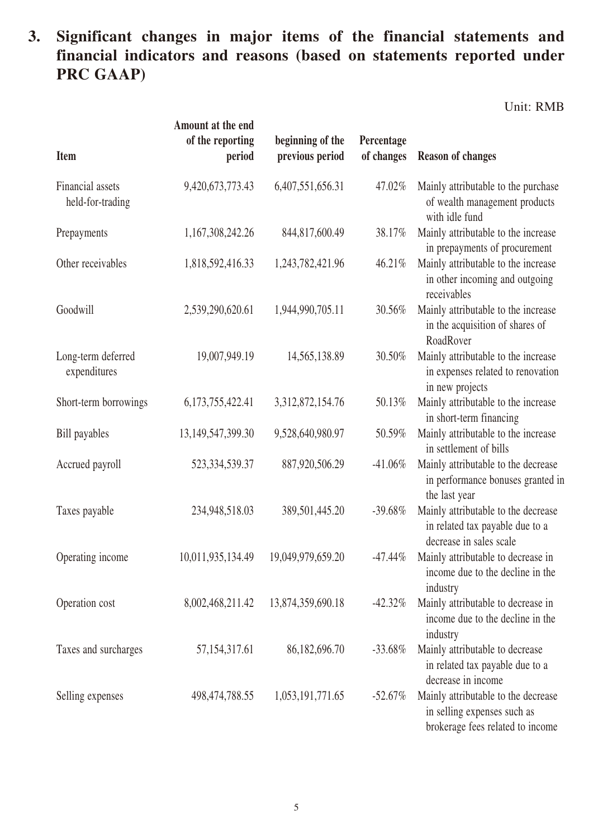### **3. Significant changes in major items of the financial statements and financial indicators and reasons (based on statements reported under PRC GAAP)**

Unit: RMB

| <b>Item</b>                          | Amount at the end<br>of the reporting<br>period | beginning of the<br>previous period | Percentage<br>of changes | <b>Reason of changes</b>                                                                               |
|--------------------------------------|-------------------------------------------------|-------------------------------------|--------------------------|--------------------------------------------------------------------------------------------------------|
| Financial assets<br>held-for-trading | 9,420,673,773.43                                | 6,407,551,656.31                    | 47.02%                   | Mainly attributable to the purchase<br>of wealth management products<br>with idle fund                 |
| Prepayments                          | 1,167,308,242.26                                | 844, 817, 600. 49                   | 38.17%                   | Mainly attributable to the increase<br>in prepayments of procurement                                   |
| Other receivables                    | 1,818,592,416.33                                | 1,243,782,421.96                    | 46.21%                   | Mainly attributable to the increase<br>in other incoming and outgoing<br>receivables                   |
| Goodwill                             | 2,539,290,620.61                                | 1,944,990,705.11                    | 30.56%                   | Mainly attributable to the increase<br>in the acquisition of shares of<br>RoadRover                    |
| Long-term deferred<br>expenditures   | 19,007,949.19                                   | 14,565,138.89                       | 30.50%                   | Mainly attributable to the increase<br>in expenses related to renovation<br>in new projects            |
| Short-term borrowings                | 6,173,755,422.41                                | 3,312,872,154.76                    | 50.13%                   | Mainly attributable to the increase<br>in short-term financing                                         |
| <b>Bill</b> payables                 | 13, 149, 547, 399. 30                           | 9,528,640,980.97                    | 50.59%                   | Mainly attributable to the increase<br>in settlement of bills                                          |
| Accrued payroll                      | 523, 334, 539. 37                               | 887,920,506.29                      | $-41.06%$                | Mainly attributable to the decrease<br>in performance bonuses granted in<br>the last year              |
| Taxes payable                        | 234,948,518.03                                  | 389,501,445.20                      | $-39.68%$                | Mainly attributable to the decrease<br>in related tax payable due to a<br>decrease in sales scale      |
| Operating income                     | 10,011,935,134.49                               | 19,049,979,659.20                   | $-47.44%$                | Mainly attributable to decrease in<br>income due to the decline in the<br>industry                     |
| Operation cost                       | 8,002,468,211.42                                | 13,874,359,690.18                   | $-42.32\%$               | Mainly attributable to decrease in<br>income due to the decline in the<br>industry                     |
| Taxes and surcharges                 | 57, 154, 317. 61                                | 86,182,696.70                       | $-33.68%$                | Mainly attributable to decrease<br>in related tax payable due to a<br>decrease in income               |
| Selling expenses                     | 498, 474, 788. 55                               | 1,053,191,771.65                    | $-52.67\%$               | Mainly attributable to the decrease<br>in selling expenses such as<br>brokerage fees related to income |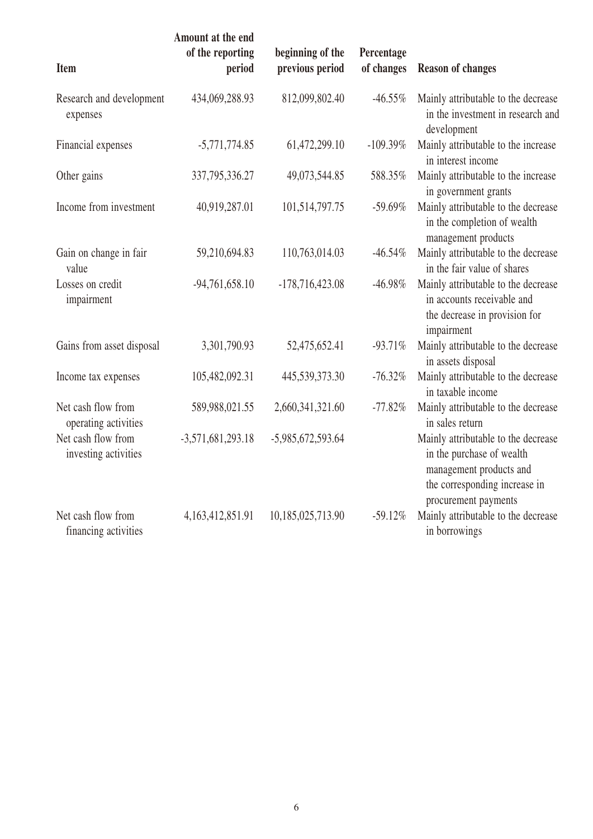| Item                                       | Amount at the end<br>of the reporting<br>period | beginning of the<br>previous period | Percentage<br>of changes | <b>Reason of changes</b>                                                                                                                             |
|--------------------------------------------|-------------------------------------------------|-------------------------------------|--------------------------|------------------------------------------------------------------------------------------------------------------------------------------------------|
| Research and development<br>expenses       | 434,069,288.93                                  | 812,099,802.40                      | $-46.55\%$               | Mainly attributable to the decrease<br>in the investment in research and<br>development                                                              |
| Financial expenses                         | $-5,771,774.85$                                 | 61,472,299.10                       | $-109.39%$               | Mainly attributable to the increase<br>in interest income                                                                                            |
| Other gains                                | 337, 795, 336. 27                               | 49,073,544.85                       | 588.35%                  | Mainly attributable to the increase<br>in government grants                                                                                          |
| Income from investment                     | 40,919,287.01                                   | 101,514,797.75                      | $-59.69%$                | Mainly attributable to the decrease<br>in the completion of wealth<br>management products                                                            |
| Gain on change in fair<br>value            | 59,210,694.83                                   | 110,763,014.03                      | $-46.54%$                | Mainly attributable to the decrease<br>in the fair value of shares                                                                                   |
| Losses on credit<br>impairment             | $-94,761,658.10$                                | $-178,716,423.08$                   | $-46.98%$                | Mainly attributable to the decrease<br>in accounts receivable and<br>the decrease in provision for<br>impairment                                     |
| Gains from asset disposal                  | 3,301,790.93                                    | 52,475,652.41                       | $-93.71%$                | Mainly attributable to the decrease<br>in assets disposal                                                                                            |
| Income tax expenses                        | 105,482,092.31                                  | 445,539,373.30                      | $-76.32%$                | Mainly attributable to the decrease<br>in taxable income                                                                                             |
| Net cash flow from<br>operating activities | 589,988,021.55                                  | 2,660,341,321.60                    | $-77.82%$                | Mainly attributable to the decrease<br>in sales return                                                                                               |
| Net cash flow from<br>investing activities | $-3,571,681,293.18$                             | -5,985,672,593.64                   |                          | Mainly attributable to the decrease<br>in the purchase of wealth<br>management products and<br>the corresponding increase in<br>procurement payments |
| Net cash flow from<br>financing activities | 4, 163, 412, 851. 91                            | 10,185,025,713.90                   | $-59.12%$                | Mainly attributable to the decrease<br>in borrowings                                                                                                 |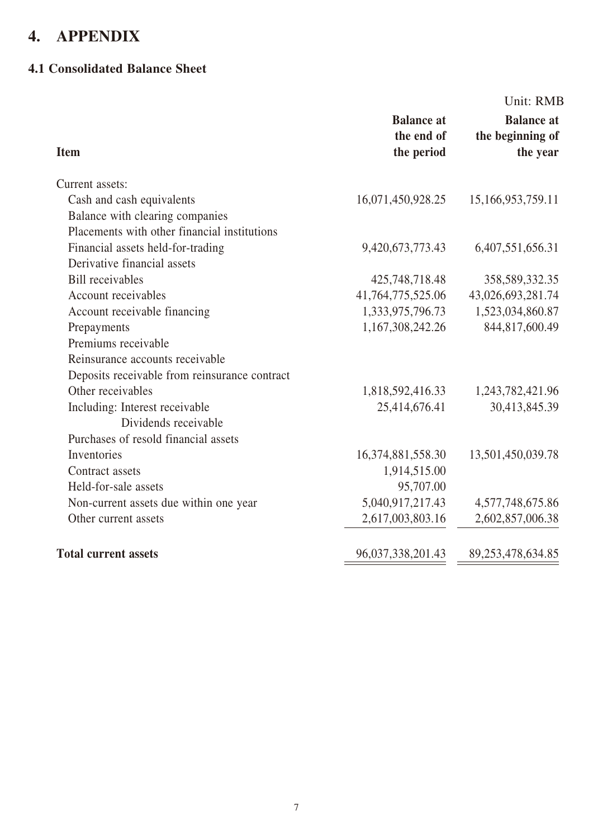## **4. APPENDIX**

#### **4.1 Consolidated Balance Sheet**

|                                               |                                               | Unit: RMB                                         |
|-----------------------------------------------|-----------------------------------------------|---------------------------------------------------|
| <b>Item</b>                                   | <b>Balance</b> at<br>the end of<br>the period | <b>Balance at</b><br>the beginning of<br>the year |
| Current assets:                               |                                               |                                                   |
| Cash and cash equivalents                     | 16,071,450,928.25                             | 15,166,953,759.11                                 |
| Balance with clearing companies               |                                               |                                                   |
| Placements with other financial institutions  |                                               |                                                   |
| Financial assets held-for-trading             | 9,420,673,773.43                              | 6,407,551,656.31                                  |
| Derivative financial assets                   |                                               |                                                   |
| <b>Bill</b> receivables                       | 425,748,718.48                                | 358,589,332.35                                    |
| Account receivables                           | 41,764,775,525.06                             | 43,026,693,281.74                                 |
| Account receivable financing                  | 1,333,975,796.73                              | 1,523,034,860.87                                  |
| Prepayments                                   | 1,167,308,242.26                              | 844,817,600.49                                    |
| Premiums receivable                           |                                               |                                                   |
| Reinsurance accounts receivable               |                                               |                                                   |
| Deposits receivable from reinsurance contract |                                               |                                                   |
| Other receivables                             | 1,818,592,416.33                              | 1,243,782,421.96                                  |
| Including: Interest receivable                | 25,414,676.41                                 | 30,413,845.39                                     |
| Dividends receivable                          |                                               |                                                   |
| Purchases of resold financial assets          |                                               |                                                   |
| Inventories                                   | 16, 374, 881, 558. 30                         | 13,501,450,039.78                                 |
| Contract assets                               | 1,914,515.00                                  |                                                   |
| Held-for-sale assets                          | 95,707.00                                     |                                                   |
| Non-current assets due within one year        | 5,040,917,217.43                              | 4,577,748,675.86                                  |
| Other current assets                          | 2,617,003,803.16                              | 2,602,857,006.38                                  |
| <b>Total current assets</b>                   | 96,037,338,201.43                             | 89,253,478,634.85                                 |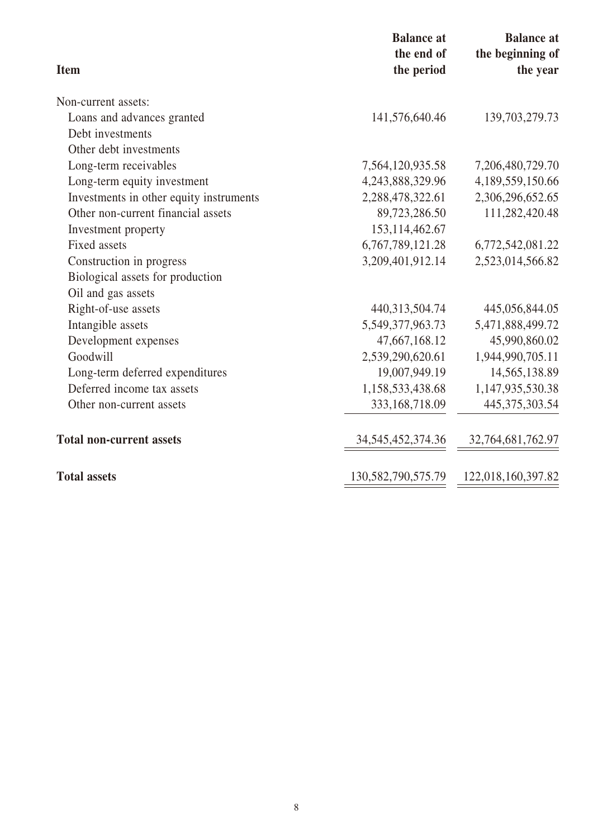| <b>Item</b>                             | <b>Balance</b> at<br>the end of<br>the period | <b>Balance</b> at<br>the beginning of<br>the year |
|-----------------------------------------|-----------------------------------------------|---------------------------------------------------|
| Non-current assets:                     |                                               |                                                   |
| Loans and advances granted              | 141,576,640.46                                | 139, 703, 279. 73                                 |
| Debt investments                        |                                               |                                                   |
| Other debt investments                  |                                               |                                                   |
| Long-term receivables                   | 7,564,120,935.58                              | 7,206,480,729.70                                  |
| Long-term equity investment             | 4,243,888,329.96                              | 4,189,559,150.66                                  |
| Investments in other equity instruments | 2,288,478,322.61                              | 2,306,296,652.65                                  |
| Other non-current financial assets      | 89,723,286.50                                 | 111,282,420.48                                    |
| Investment property                     | 153, 114, 462. 67                             |                                                   |
| <b>Fixed assets</b>                     | 6,767,789,121.28                              | 6,772,542,081.22                                  |
| Construction in progress                | 3,209,401,912.14                              | 2,523,014,566.82                                  |
| Biological assets for production        |                                               |                                                   |
| Oil and gas assets                      |                                               |                                                   |
| Right-of-use assets                     | 440,313,504.74                                | 445,056,844.05                                    |
| Intangible assets                       | 5,549,377,963.73                              | 5,471,888,499.72                                  |
| Development expenses                    | 47,667,168.12                                 | 45,990,860.02                                     |
| Goodwill                                | 2,539,290,620.61                              | 1,944,990,705.11                                  |
| Long-term deferred expenditures         | 19,007,949.19                                 | 14,565,138.89                                     |
| Deferred income tax assets              | 1,158,533,438.68                              | 1,147,935,530.38                                  |
| Other non-current assets                | 333,168,718.09                                | 445, 375, 303. 54                                 |
| <b>Total non-current assets</b>         | 34, 545, 452, 374. 36                         | 32,764,681,762.97                                 |
| <b>Total assets</b>                     | 130,582,790,575.79                            | 122,018,160,397.82                                |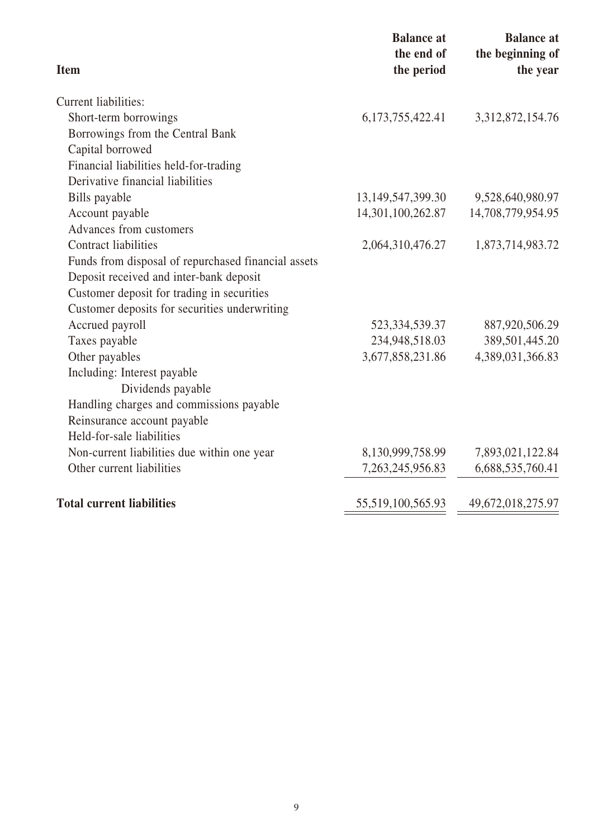| <b>Item</b>                                         | <b>Balance at</b><br>the end of<br>the period | <b>Balance</b> at<br>the beginning of<br>the year |
|-----------------------------------------------------|-----------------------------------------------|---------------------------------------------------|
| Current liabilities:                                |                                               |                                                   |
| Short-term borrowings                               | 6, 173, 755, 422. 41                          | 3, 312, 872, 154. 76                              |
| Borrowings from the Central Bank                    |                                               |                                                   |
| Capital borrowed                                    |                                               |                                                   |
| Financial liabilities held-for-trading              |                                               |                                                   |
| Derivative financial liabilities                    |                                               |                                                   |
| Bills payable                                       | 13, 149, 547, 399. 30                         | 9,528,640,980.97                                  |
| Account payable                                     | 14,301,100,262.87                             | 14,708,779,954.95                                 |
| Advances from customers                             |                                               |                                                   |
| <b>Contract liabilities</b>                         | 2,064,310,476.27                              | 1,873,714,983.72                                  |
| Funds from disposal of repurchased financial assets |                                               |                                                   |
| Deposit received and inter-bank deposit             |                                               |                                                   |
| Customer deposit for trading in securities          |                                               |                                                   |
| Customer deposits for securities underwriting       |                                               |                                                   |
| Accrued payroll                                     | 523, 334, 539. 37                             | 887,920,506.29                                    |
| Taxes payable                                       | 234,948,518.03                                | 389,501,445.20                                    |
| Other payables                                      | 3,677,858,231.86                              | 4,389,031,366.83                                  |
| Including: Interest payable                         |                                               |                                                   |
| Dividends payable                                   |                                               |                                                   |
| Handling charges and commissions payable            |                                               |                                                   |
| Reinsurance account payable                         |                                               |                                                   |
| Held-for-sale liabilities                           |                                               |                                                   |
| Non-current liabilities due within one year         | 8,130,999,758.99                              | 7,893,021,122.84                                  |
| Other current liabilities                           | 7,263,245,956.83                              | 6,688,535,760.41                                  |
| <b>Total current liabilities</b>                    | 55,519,100,565.93                             | 49,672,018,275.97                                 |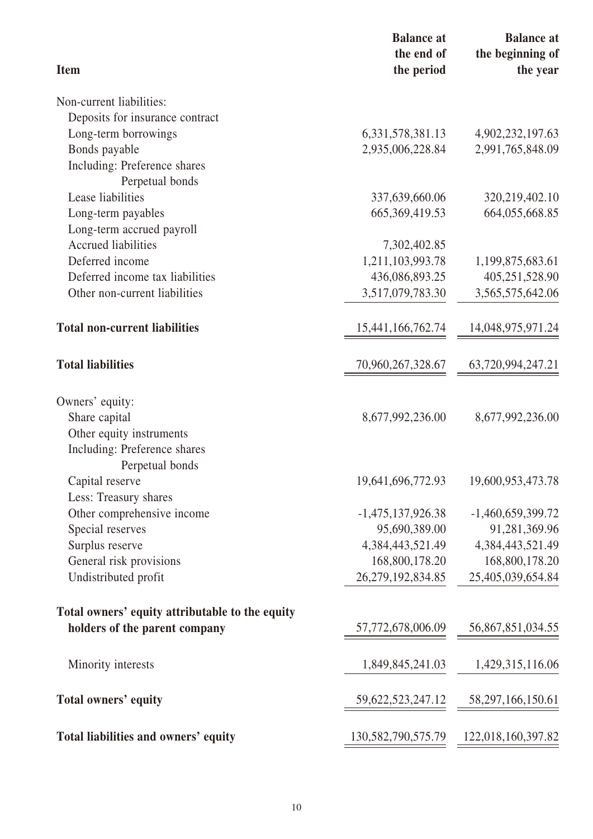| <b>Item</b>                                     | <b>Balance</b> at<br>the end of | <b>Balance</b> at<br>the beginning of |
|-------------------------------------------------|---------------------------------|---------------------------------------|
|                                                 | the period                      | the year                              |
| Non-current liabilities:                        |                                 |                                       |
| Deposits for insurance contract                 |                                 |                                       |
| Long-term borrowings                            | 6, 331, 578, 381. 13            | 4,902,232,197.63                      |
| Bonds payable                                   | 2,935,006,228.84                | 2,991,765,848.09                      |
| Including: Preference shares                    |                                 |                                       |
| Perpetual bonds                                 |                                 |                                       |
| Lease liabilities                               | 337,639,660.06                  | 320, 219, 402. 10                     |
| Long-term payables                              | 665, 369, 419.53                | 664,055,668.85                        |
| Long-term accrued payroll                       |                                 |                                       |
| <b>Accrued liabilities</b>                      | 7,302,402.85                    |                                       |
| Deferred income                                 | 1,211,103,993.78                | 1,199,875,683.61                      |
| Deferred income tax liabilities                 | 436,086,893.25                  | 405,251,528.90                        |
| Other non-current liabilities                   | 3,517,079,783.30                | 3,565,575,642.06                      |
| <b>Total non-current liabilities</b>            | 15,441,166,762.74               | 14,048,975,971.24                     |
| <b>Total liabilities</b>                        | 70,960,267,328.67               | 63,720,994,247.21                     |
| Owners' equity:                                 |                                 |                                       |
| Share capital                                   | 8,677,992,236.00                | 8,677,992,236.00                      |
| Other equity instruments                        |                                 |                                       |
| Including: Preference shares                    |                                 |                                       |
| Perpetual bonds                                 |                                 |                                       |
| Capital reserve                                 | 19,641,696,772.93               | 19,600,953,473.78                     |
| Less: Treasury shares                           |                                 |                                       |
| Other comprehensive income                      | $-1,475,137,926.38$             | $-1,460,659,399.72$                   |
| Special reserves                                | 95,690,389.00                   | 91,281,369.96                         |
| Surplus reserve                                 | 4,384,443,521.49                | 4,384,443,521.49                      |
| General risk provisions                         | 168,800,178.20                  | 168,800,178.20                        |
| Undistributed profit                            | 26,279,192,834.85               | 25,405,039,654.84                     |
| Total owners' equity attributable to the equity |                                 |                                       |
| holders of the parent company                   | 57,772,678,006.09               | 56,867,851,034.55                     |
| Minority interests                              | 1,849,845,241.03                | 1,429,315,116.06                      |
| Total owners' equity                            | 59, 622, 523, 247. 12           | 58, 297, 166, 150. 61                 |
| Total liabilities and owners' equity            | 130,582,790,575.79              | 122,018,160,397.82                    |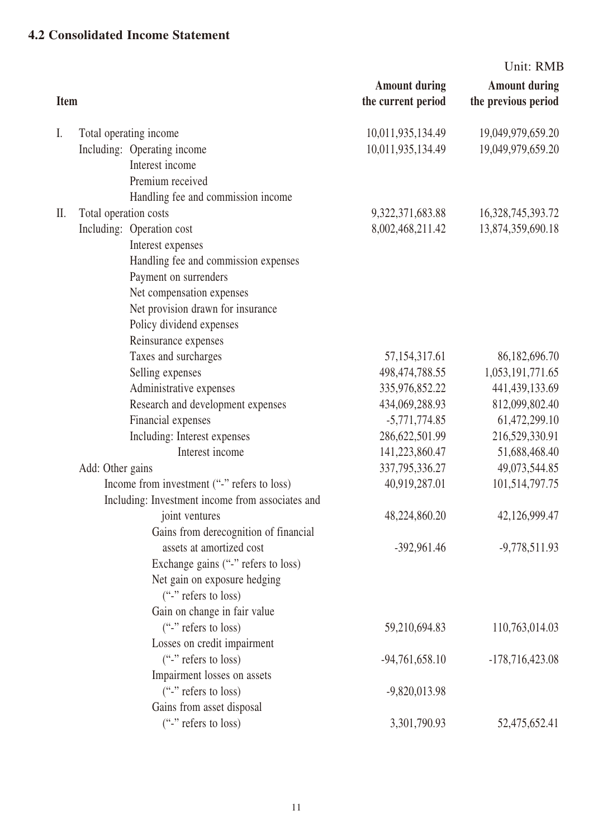#### **4.2 Consolidated Income Statement**

|             |                       |                                                  |                                            | Unit: RMB                                   |
|-------------|-----------------------|--------------------------------------------------|--------------------------------------------|---------------------------------------------|
| <b>Item</b> |                       |                                                  | <b>Amount during</b><br>the current period | <b>Amount during</b><br>the previous period |
| I.          |                       | Total operating income                           | 10,011,935,134.49                          | 19,049,979,659.20                           |
|             |                       | Including: Operating income                      | 10,011,935,134.49                          | 19,049,979,659.20                           |
|             |                       | Interest income                                  |                                            |                                             |
|             |                       | Premium received                                 |                                            |                                             |
|             |                       | Handling fee and commission income               |                                            |                                             |
| $\prod$ .   | Total operation costs |                                                  | 9,322,371,683.88                           | 16,328,745,393.72                           |
|             |                       | Including: Operation cost                        | 8,002,468,211.42                           | 13,874,359,690.18                           |
|             |                       | Interest expenses                                |                                            |                                             |
|             |                       | Handling fee and commission expenses             |                                            |                                             |
|             |                       | Payment on surrenders                            |                                            |                                             |
|             |                       | Net compensation expenses                        |                                            |                                             |
|             |                       | Net provision drawn for insurance                |                                            |                                             |
|             |                       | Policy dividend expenses                         |                                            |                                             |
|             |                       | Reinsurance expenses                             |                                            |                                             |
|             |                       | Taxes and surcharges                             | 57, 154, 317. 61                           | 86,182,696.70                               |
|             |                       | Selling expenses                                 | 498, 474, 788. 55                          | 1,053,191,771.65                            |
|             |                       | Administrative expenses                          | 335,976,852.22                             | 441,439,133.69                              |
|             |                       | Research and development expenses                | 434,069,288.93                             | 812,099,802.40                              |
|             |                       | Financial expenses                               | $-5,771,774.85$                            | 61,472,299.10                               |
|             |                       | Including: Interest expenses                     | 286,622,501.99                             | 216,529,330.91                              |
|             |                       | Interest income                                  | 141,223,860.47                             | 51,688,468.40                               |
|             | Add: Other gains      |                                                  | 337, 795, 336. 27                          | 49,073,544.85                               |
|             |                       | Income from investment ("-" refers to loss)      | 40,919,287.01                              | 101,514,797.75                              |
|             |                       | Including: Investment income from associates and |                                            |                                             |
|             |                       | joint ventures                                   | 48,224,860.20                              | 42,126,999.47                               |
|             |                       | Gains from derecognition of financial            |                                            |                                             |
|             |                       | assets at amortized cost                         | $-392,961.46$                              | $-9,778,511.93$                             |
|             |                       | Exchange gains ("-" refers to loss)              |                                            |                                             |
|             |                       | Net gain on exposure hedging                     |                                            |                                             |
|             |                       | $("$ -" refers to loss)                          |                                            |                                             |
|             |                       | Gain on change in fair value                     |                                            |                                             |
|             |                       | $"$ refers to loss)                              | 59,210,694.83                              | 110,763,014.03                              |
|             |                       | Losses on credit impairment                      |                                            |                                             |
|             |                       | $"$ refers to loss)                              | $-94,761,658.10$                           | $-178,716,423.08$                           |
|             |                       | Impairment losses on assets                      |                                            |                                             |
|             |                       | $("$ -" refers to loss)                          | $-9,820,013.98$                            |                                             |
|             |                       | Gains from asset disposal                        |                                            |                                             |
|             |                       | ("-" refers to loss)                             | 3,301,790.93                               | 52,475,652.41                               |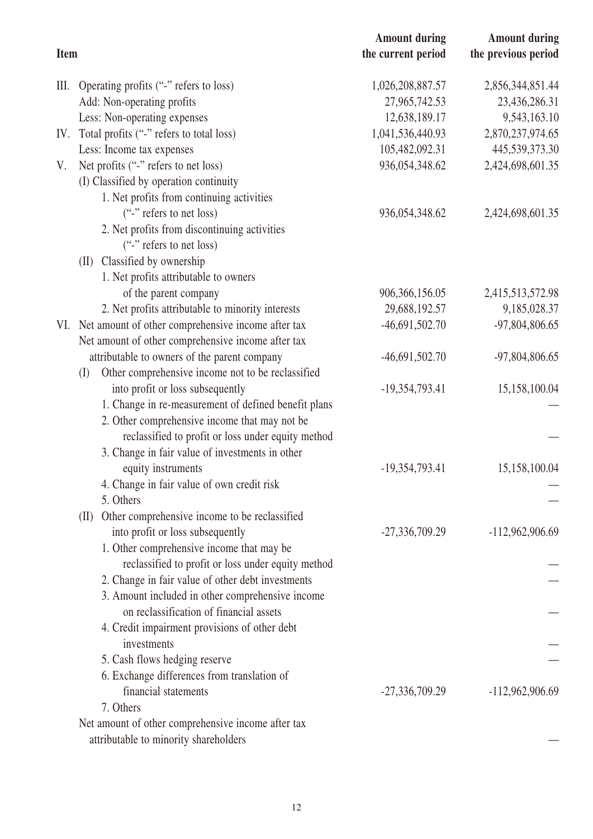|             |                                                          | <b>Amount during</b> | <b>Amount during</b> |
|-------------|----------------------------------------------------------|----------------------|----------------------|
| <b>Item</b> |                                                          | the current period   | the previous period  |
| Ш.          | Operating profits ("-" refers to loss)                   | 1,026,208,887.57     | 2,856,344,851.44     |
|             | Add: Non-operating profits                               | 27,965,742.53        | 23,436,286.31        |
|             | Less: Non-operating expenses                             | 12,638,189.17        | 9,543,163.10         |
| IV.         | Total profits ("-" refers to total loss)                 | 1,041,536,440.93     | 2,870,237,974.65     |
|             | Less: Income tax expenses                                | 105,482,092.31       | 445,539,373.30       |
| V.          | Net profits ("-" refers to net loss)                     | 936,054,348.62       | 2,424,698,601.35     |
|             | (I) Classified by operation continuity                   |                      |                      |
|             | 1. Net profits from continuing activities                |                      |                      |
|             | ("-" refers to net loss)                                 | 936,054,348.62       | 2,424,698,601.35     |
|             | 2. Net profits from discontinuing activities             |                      |                      |
|             | ("-" refers to net loss)                                 |                      |                      |
|             | Classified by ownership<br>(II)                          |                      |                      |
|             | 1. Net profits attributable to owners                    |                      |                      |
|             | of the parent company                                    | 906, 366, 156.05     | 2,415,513,572.98     |
|             | 2. Net profits attributable to minority interests        | 29,688,192.57        | 9,185,028.37         |
| VI.         | Net amount of other comprehensive income after tax       | $-46,691,502.70$     | -97,804,806.65       |
|             | Net amount of other comprehensive income after tax       |                      |                      |
|             | attributable to owners of the parent company             | $-46,691,502.70$     | $-97,804,806.65$     |
|             | Other comprehensive income not to be reclassified<br>(I) |                      |                      |
|             | into profit or loss subsequently                         | $-19,354,793.41$     | 15,158,100.04        |
|             | 1. Change in re-measurement of defined benefit plans     |                      |                      |
|             | 2. Other comprehensive income that may not be            |                      |                      |
|             | reclassified to profit or loss under equity method       |                      |                      |
|             | 3. Change in fair value of investments in other          |                      |                      |
|             | equity instruments                                       | $-19,354,793.41$     | 15,158,100.04        |
|             | 4. Change in fair value of own credit risk               |                      |                      |
|             | 5. Others                                                |                      |                      |
|             | Other comprehensive income to be reclassified<br>(II)    |                      |                      |
|             | into profit or loss subsequently                         | $-27,336,709.29$     | $-112,962,906.69$    |
|             | 1. Other comprehensive income that may be                |                      |                      |
|             | reclassified to profit or loss under equity method       |                      |                      |
|             | 2. Change in fair value of other debt investments        |                      |                      |
|             | 3. Amount included in other comprehensive income         |                      |                      |
|             | on reclassification of financial assets                  |                      |                      |
|             | 4. Credit impairment provisions of other debt            |                      |                      |
|             | investments                                              |                      |                      |
|             | 5. Cash flows hedging reserve                            |                      |                      |
|             | 6. Exchange differences from translation of              |                      |                      |
|             | financial statements                                     | $-27,336,709.29$     | -112,962,906.69      |
|             | 7. Others                                                |                      |                      |
|             | Net amount of other comprehensive income after tax       |                      |                      |
|             | attributable to minority shareholders                    |                      |                      |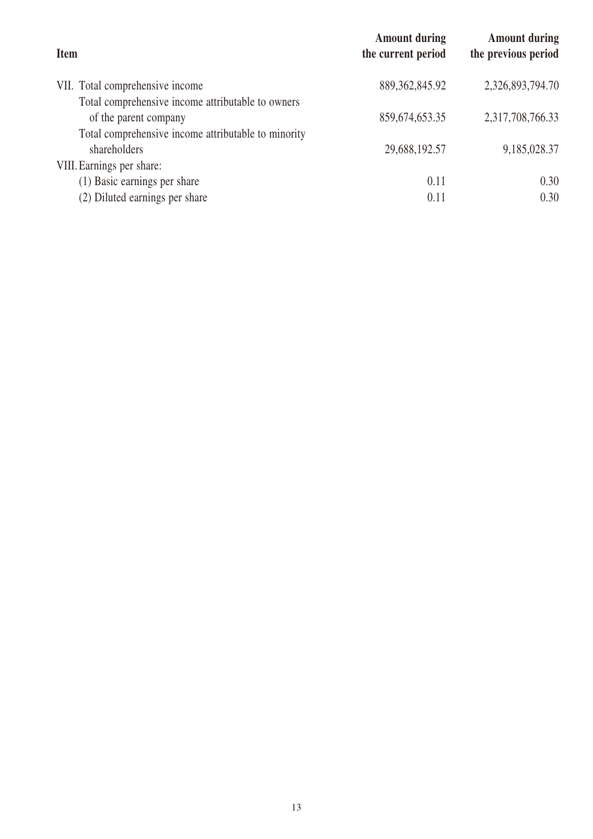| <b>Amount during</b><br>the current period | <b>Amount during</b><br>the previous period |
|--------------------------------------------|---------------------------------------------|
| 889, 362, 845. 92                          | 2,326,893,794.70                            |
|                                            |                                             |
| 859, 674, 653. 35                          | 2,317,708,766.33                            |
|                                            |                                             |
| 29,688,192.57                              | 9,185,028.37                                |
|                                            |                                             |
| 0.11                                       | 0.30                                        |
| 0.11                                       | 0.30                                        |
|                                            |                                             |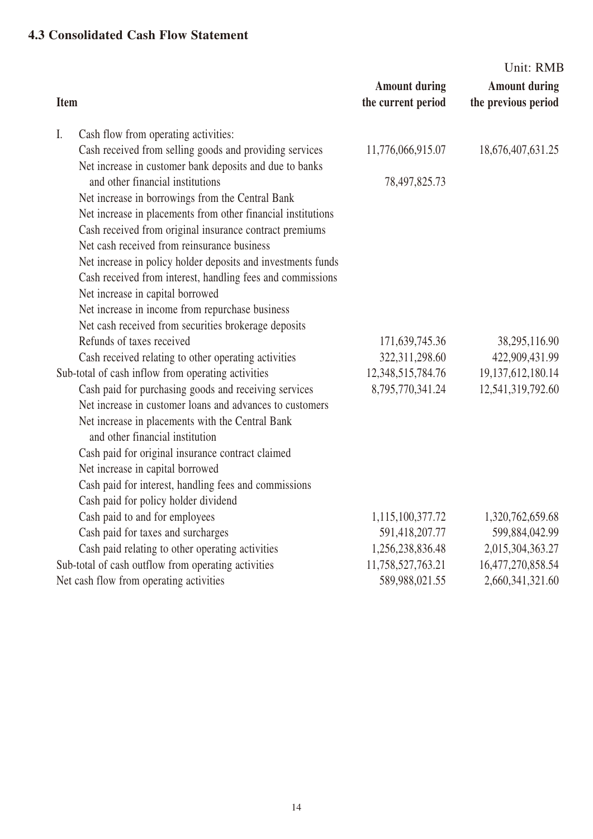#### **4.3 Consolidated Cash Flow Statement**

| <b>Amount during</b><br><b>Amount during</b><br>the previous period<br><b>Item</b><br>the current period<br>Cash flow from operating activities:<br>I.<br>Cash received from selling goods and providing services<br>11,776,066,915.07<br>18,676,407,631.25<br>Net increase in customer bank deposits and due to banks<br>and other financial institutions<br>78,497,825.73<br>Net increase in borrowings from the Central Bank<br>Net increase in placements from other financial institutions<br>Cash received from original insurance contract premiums<br>Net cash received from reinsurance business<br>Net increase in policy holder deposits and investments funds<br>Cash received from interest, handling fees and commissions<br>Net increase in capital borrowed<br>Net increase in income from repurchase business<br>Net cash received from securities brokerage deposits<br>Refunds of taxes received<br>171,639,745.36<br>38,295,116.90<br>422,909,431.99<br>Cash received relating to other operating activities<br>322,311,298.60<br>Sub-total of cash inflow from operating activities<br>12,348,515,784.76<br>19, 137, 612, 180. 14<br>Cash paid for purchasing goods and receiving services<br>8,795,770,341.24<br>12,541,319,792.60<br>Net increase in customer loans and advances to customers<br>Net increase in placements with the Central Bank<br>and other financial institution<br>Cash paid for original insurance contract claimed<br>Net increase in capital borrowed<br>Cash paid for interest, handling fees and commissions<br>Cash paid for policy holder dividend<br>Cash paid to and for employees<br>1,320,762,659.68<br>1,115,100,377.72<br>599,884,042.99<br>Cash paid for taxes and surcharges<br>591,418,207.77<br>Cash paid relating to other operating activities<br>1,256,238,836.48<br>2,015,304,363.27<br>Sub-total of cash outflow from operating activities<br>11,758,527,763.21<br>16,477,270,858.54 |  |  | Unit: RMB |
|--------------------------------------------------------------------------------------------------------------------------------------------------------------------------------------------------------------------------------------------------------------------------------------------------------------------------------------------------------------------------------------------------------------------------------------------------------------------------------------------------------------------------------------------------------------------------------------------------------------------------------------------------------------------------------------------------------------------------------------------------------------------------------------------------------------------------------------------------------------------------------------------------------------------------------------------------------------------------------------------------------------------------------------------------------------------------------------------------------------------------------------------------------------------------------------------------------------------------------------------------------------------------------------------------------------------------------------------------------------------------------------------------------------------------------------------------------------------------------------------------------------------------------------------------------------------------------------------------------------------------------------------------------------------------------------------------------------------------------------------------------------------------------------------------------------------------------------------------------------------------------------------------------------------------------------------------------|--|--|-----------|
|                                                                                                                                                                                                                                                                                                                                                                                                                                                                                                                                                                                                                                                                                                                                                                                                                                                                                                                                                                                                                                                                                                                                                                                                                                                                                                                                                                                                                                                                                                                                                                                                                                                                                                                                                                                                                                                                                                                                                        |  |  |           |
|                                                                                                                                                                                                                                                                                                                                                                                                                                                                                                                                                                                                                                                                                                                                                                                                                                                                                                                                                                                                                                                                                                                                                                                                                                                                                                                                                                                                                                                                                                                                                                                                                                                                                                                                                                                                                                                                                                                                                        |  |  |           |
|                                                                                                                                                                                                                                                                                                                                                                                                                                                                                                                                                                                                                                                                                                                                                                                                                                                                                                                                                                                                                                                                                                                                                                                                                                                                                                                                                                                                                                                                                                                                                                                                                                                                                                                                                                                                                                                                                                                                                        |  |  |           |
|                                                                                                                                                                                                                                                                                                                                                                                                                                                                                                                                                                                                                                                                                                                                                                                                                                                                                                                                                                                                                                                                                                                                                                                                                                                                                                                                                                                                                                                                                                                                                                                                                                                                                                                                                                                                                                                                                                                                                        |  |  |           |
|                                                                                                                                                                                                                                                                                                                                                                                                                                                                                                                                                                                                                                                                                                                                                                                                                                                                                                                                                                                                                                                                                                                                                                                                                                                                                                                                                                                                                                                                                                                                                                                                                                                                                                                                                                                                                                                                                                                                                        |  |  |           |
|                                                                                                                                                                                                                                                                                                                                                                                                                                                                                                                                                                                                                                                                                                                                                                                                                                                                                                                                                                                                                                                                                                                                                                                                                                                                                                                                                                                                                                                                                                                                                                                                                                                                                                                                                                                                                                                                                                                                                        |  |  |           |
|                                                                                                                                                                                                                                                                                                                                                                                                                                                                                                                                                                                                                                                                                                                                                                                                                                                                                                                                                                                                                                                                                                                                                                                                                                                                                                                                                                                                                                                                                                                                                                                                                                                                                                                                                                                                                                                                                                                                                        |  |  |           |
|                                                                                                                                                                                                                                                                                                                                                                                                                                                                                                                                                                                                                                                                                                                                                                                                                                                                                                                                                                                                                                                                                                                                                                                                                                                                                                                                                                                                                                                                                                                                                                                                                                                                                                                                                                                                                                                                                                                                                        |  |  |           |
|                                                                                                                                                                                                                                                                                                                                                                                                                                                                                                                                                                                                                                                                                                                                                                                                                                                                                                                                                                                                                                                                                                                                                                                                                                                                                                                                                                                                                                                                                                                                                                                                                                                                                                                                                                                                                                                                                                                                                        |  |  |           |
|                                                                                                                                                                                                                                                                                                                                                                                                                                                                                                                                                                                                                                                                                                                                                                                                                                                                                                                                                                                                                                                                                                                                                                                                                                                                                                                                                                                                                                                                                                                                                                                                                                                                                                                                                                                                                                                                                                                                                        |  |  |           |
|                                                                                                                                                                                                                                                                                                                                                                                                                                                                                                                                                                                                                                                                                                                                                                                                                                                                                                                                                                                                                                                                                                                                                                                                                                                                                                                                                                                                                                                                                                                                                                                                                                                                                                                                                                                                                                                                                                                                                        |  |  |           |
|                                                                                                                                                                                                                                                                                                                                                                                                                                                                                                                                                                                                                                                                                                                                                                                                                                                                                                                                                                                                                                                                                                                                                                                                                                                                                                                                                                                                                                                                                                                                                                                                                                                                                                                                                                                                                                                                                                                                                        |  |  |           |
|                                                                                                                                                                                                                                                                                                                                                                                                                                                                                                                                                                                                                                                                                                                                                                                                                                                                                                                                                                                                                                                                                                                                                                                                                                                                                                                                                                                                                                                                                                                                                                                                                                                                                                                                                                                                                                                                                                                                                        |  |  |           |
|                                                                                                                                                                                                                                                                                                                                                                                                                                                                                                                                                                                                                                                                                                                                                                                                                                                                                                                                                                                                                                                                                                                                                                                                                                                                                                                                                                                                                                                                                                                                                                                                                                                                                                                                                                                                                                                                                                                                                        |  |  |           |
|                                                                                                                                                                                                                                                                                                                                                                                                                                                                                                                                                                                                                                                                                                                                                                                                                                                                                                                                                                                                                                                                                                                                                                                                                                                                                                                                                                                                                                                                                                                                                                                                                                                                                                                                                                                                                                                                                                                                                        |  |  |           |
|                                                                                                                                                                                                                                                                                                                                                                                                                                                                                                                                                                                                                                                                                                                                                                                                                                                                                                                                                                                                                                                                                                                                                                                                                                                                                                                                                                                                                                                                                                                                                                                                                                                                                                                                                                                                                                                                                                                                                        |  |  |           |
|                                                                                                                                                                                                                                                                                                                                                                                                                                                                                                                                                                                                                                                                                                                                                                                                                                                                                                                                                                                                                                                                                                                                                                                                                                                                                                                                                                                                                                                                                                                                                                                                                                                                                                                                                                                                                                                                                                                                                        |  |  |           |
|                                                                                                                                                                                                                                                                                                                                                                                                                                                                                                                                                                                                                                                                                                                                                                                                                                                                                                                                                                                                                                                                                                                                                                                                                                                                                                                                                                                                                                                                                                                                                                                                                                                                                                                                                                                                                                                                                                                                                        |  |  |           |
|                                                                                                                                                                                                                                                                                                                                                                                                                                                                                                                                                                                                                                                                                                                                                                                                                                                                                                                                                                                                                                                                                                                                                                                                                                                                                                                                                                                                                                                                                                                                                                                                                                                                                                                                                                                                                                                                                                                                                        |  |  |           |
|                                                                                                                                                                                                                                                                                                                                                                                                                                                                                                                                                                                                                                                                                                                                                                                                                                                                                                                                                                                                                                                                                                                                                                                                                                                                                                                                                                                                                                                                                                                                                                                                                                                                                                                                                                                                                                                                                                                                                        |  |  |           |
|                                                                                                                                                                                                                                                                                                                                                                                                                                                                                                                                                                                                                                                                                                                                                                                                                                                                                                                                                                                                                                                                                                                                                                                                                                                                                                                                                                                                                                                                                                                                                                                                                                                                                                                                                                                                                                                                                                                                                        |  |  |           |
|                                                                                                                                                                                                                                                                                                                                                                                                                                                                                                                                                                                                                                                                                                                                                                                                                                                                                                                                                                                                                                                                                                                                                                                                                                                                                                                                                                                                                                                                                                                                                                                                                                                                                                                                                                                                                                                                                                                                                        |  |  |           |
|                                                                                                                                                                                                                                                                                                                                                                                                                                                                                                                                                                                                                                                                                                                                                                                                                                                                                                                                                                                                                                                                                                                                                                                                                                                                                                                                                                                                                                                                                                                                                                                                                                                                                                                                                                                                                                                                                                                                                        |  |  |           |
|                                                                                                                                                                                                                                                                                                                                                                                                                                                                                                                                                                                                                                                                                                                                                                                                                                                                                                                                                                                                                                                                                                                                                                                                                                                                                                                                                                                                                                                                                                                                                                                                                                                                                                                                                                                                                                                                                                                                                        |  |  |           |
|                                                                                                                                                                                                                                                                                                                                                                                                                                                                                                                                                                                                                                                                                                                                                                                                                                                                                                                                                                                                                                                                                                                                                                                                                                                                                                                                                                                                                                                                                                                                                                                                                                                                                                                                                                                                                                                                                                                                                        |  |  |           |
|                                                                                                                                                                                                                                                                                                                                                                                                                                                                                                                                                                                                                                                                                                                                                                                                                                                                                                                                                                                                                                                                                                                                                                                                                                                                                                                                                                                                                                                                                                                                                                                                                                                                                                                                                                                                                                                                                                                                                        |  |  |           |
|                                                                                                                                                                                                                                                                                                                                                                                                                                                                                                                                                                                                                                                                                                                                                                                                                                                                                                                                                                                                                                                                                                                                                                                                                                                                                                                                                                                                                                                                                                                                                                                                                                                                                                                                                                                                                                                                                                                                                        |  |  |           |
|                                                                                                                                                                                                                                                                                                                                                                                                                                                                                                                                                                                                                                                                                                                                                                                                                                                                                                                                                                                                                                                                                                                                                                                                                                                                                                                                                                                                                                                                                                                                                                                                                                                                                                                                                                                                                                                                                                                                                        |  |  |           |
| Net cash flow from operating activities<br>2,660,341,321.60<br>589,988,021.55                                                                                                                                                                                                                                                                                                                                                                                                                                                                                                                                                                                                                                                                                                                                                                                                                                                                                                                                                                                                                                                                                                                                                                                                                                                                                                                                                                                                                                                                                                                                                                                                                                                                                                                                                                                                                                                                          |  |  |           |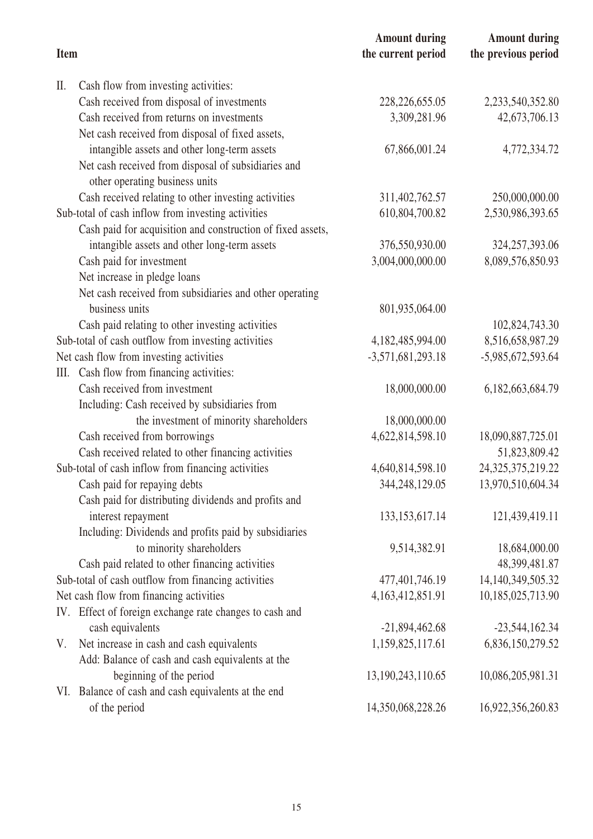|             |                                                             | <b>Amount during</b>  | <b>Amount during</b>  |
|-------------|-------------------------------------------------------------|-----------------------|-----------------------|
| <b>Item</b> |                                                             | the current period    | the previous period   |
| II.         | Cash flow from investing activities:                        |                       |                       |
|             | Cash received from disposal of investments                  | 228, 226, 655.05      | 2,233,540,352.80      |
|             | Cash received from returns on investments                   | 3,309,281.96          | 42,673,706.13         |
|             | Net cash received from disposal of fixed assets,            |                       |                       |
|             | intangible assets and other long-term assets                | 67,866,001.24         | 4,772,334.72          |
|             | Net cash received from disposal of subsidiaries and         |                       |                       |
|             | other operating business units                              |                       |                       |
|             | Cash received relating to other investing activities        | 311,402,762.57        | 250,000,000.00        |
|             | Sub-total of cash inflow from investing activities          | 610,804,700.82        | 2,530,986,393.65      |
|             | Cash paid for acquisition and construction of fixed assets, |                       |                       |
|             | intangible assets and other long-term assets                | 376,550,930.00        | 324, 257, 393.06      |
|             | Cash paid for investment                                    | 3,004,000,000.00      | 8,089,576,850.93      |
|             | Net increase in pledge loans                                |                       |                       |
|             | Net cash received from subsidiaries and other operating     |                       |                       |
|             | business units                                              | 801,935,064.00        |                       |
|             | Cash paid relating to other investing activities            |                       | 102,824,743.30        |
|             | Sub-total of cash outflow from investing activities         | 4,182,485,994.00      | 8,516,658,987.29      |
|             | Net cash flow from investing activities                     | $-3,571,681,293.18$   | -5,985,672,593.64     |
| Ш.          | Cash flow from financing activities:                        |                       |                       |
|             | Cash received from investment                               | 18,000,000.00         | 6,182,663,684.79      |
|             | Including: Cash received by subsidiaries from               |                       |                       |
|             | the investment of minority shareholders                     | 18,000,000.00         |                       |
|             | Cash received from borrowings                               | 4,622,814,598.10      | 18,090,887,725.01     |
|             | Cash received related to other financing activities         |                       | 51,823,809.42         |
|             | Sub-total of cash inflow from financing activities          | 4,640,814,598.10      | 24, 325, 375, 219. 22 |
|             | Cash paid for repaying debts                                | 344,248,129.05        | 13,970,510,604.34     |
|             | Cash paid for distributing dividends and profits and        |                       |                       |
|             | interest repayment                                          | 133, 153, 617. 14     | 121,439,419.11        |
|             | Including: Dividends and profits paid by subsidiaries       |                       |                       |
|             | to minority shareholders                                    | 9,514,382.91          | 18,684,000.00         |
|             | Cash paid related to other financing activities             |                       | 48,399,481.87         |
|             | Sub-total of cash outflow from financing activities         | 477,401,746.19        | 14, 140, 349, 505. 32 |
|             | Net cash flow from financing activities                     | 4, 163, 412, 851. 91  | 10,185,025,713.90     |
|             | IV. Effect of foreign exchange rate changes to cash and     |                       |                       |
|             | cash equivalents                                            | $-21,894,462.68$      | $-23,544,162.34$      |
| V.          | Net increase in cash and cash equivalents                   | 1,159,825,117.61      | 6,836,150,279.52      |
|             | Add: Balance of cash and cash equivalents at the            |                       |                       |
|             | beginning of the period                                     | 13, 190, 243, 110. 65 | 10,086,205,981.31     |
|             | VI. Balance of cash and cash equivalents at the end         |                       |                       |
|             | of the period                                               | 14,350,068,228.26     | 16,922,356,260.83     |